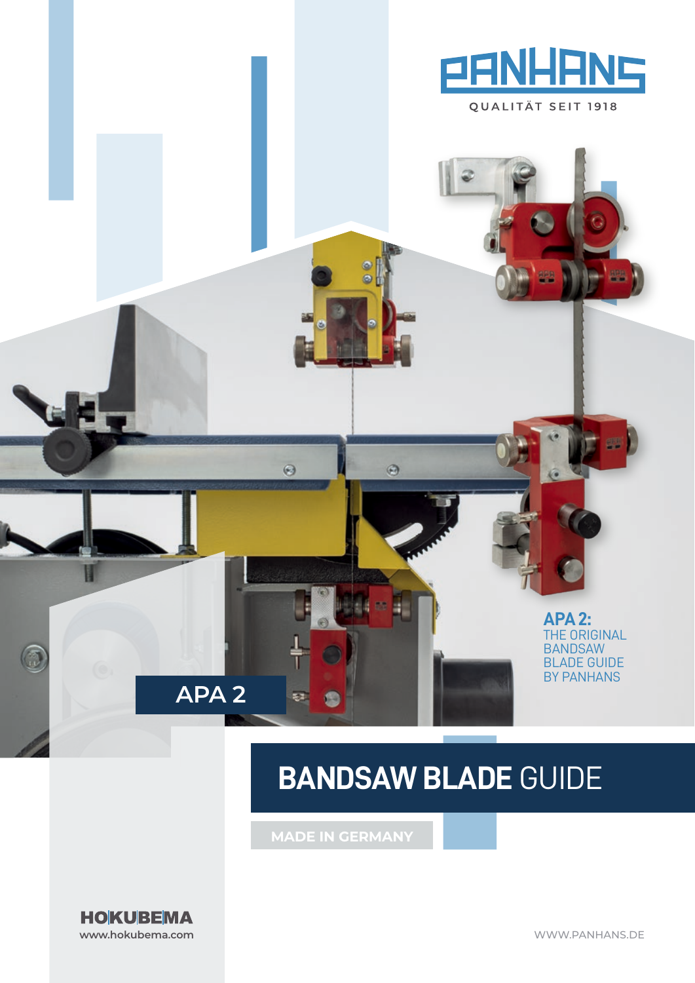

QUALITÄT SEIT 1918

# **BANDSAW BLADE** GUIDE

 $\odot$ 

 $\odot$ 

安定

**MADE IN GERMANY**



H

**APA 2**

**APA2:**  THE ORIGINAL BANDSAW **BLADE GUIDE** BY PANHANS